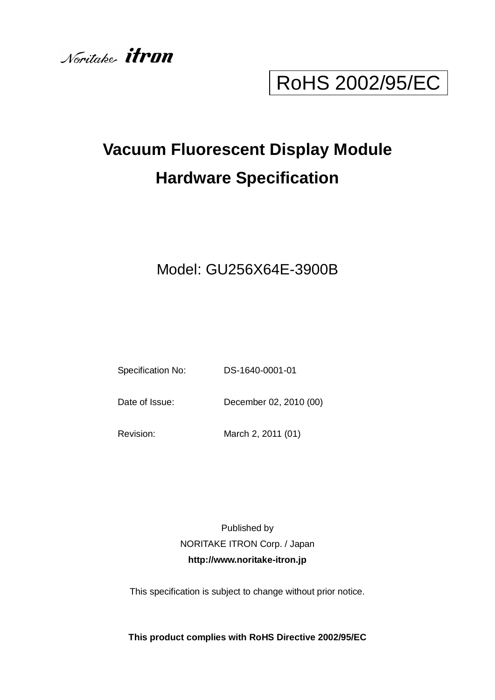

# RoHS 2002/95/EC

# **Vacuum Fluorescent Display Module Hardware Specification**

## Model: GU256X64E-3900B

Specification No: DS-1640-0001-01

Date of Issue: December 02, 2010 (00)

Revision: March 2, 2011 (01)

Published by NORITAKE ITRON Corp. / Japan **http://www.noritake-itron.jp**

This specification is subject to change without prior notice.

**This product complies with RoHS Directive 2002/95/EC**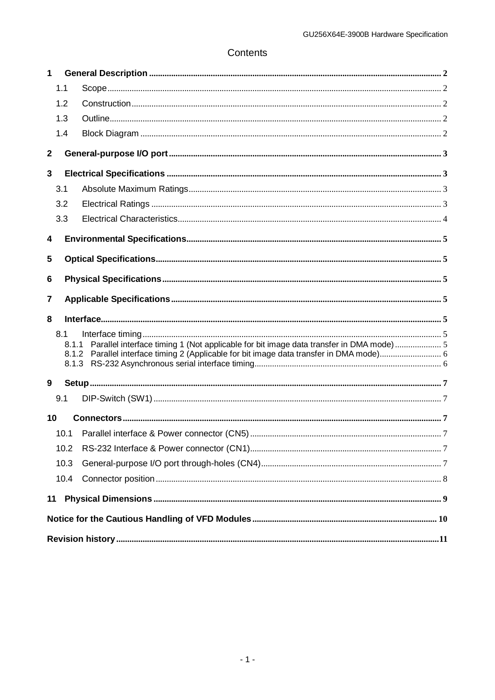## Contents

| 1            |      |                                                                                              |  |
|--------------|------|----------------------------------------------------------------------------------------------|--|
|              | 1.1  |                                                                                              |  |
|              | 1.2  |                                                                                              |  |
|              | 1.3  |                                                                                              |  |
|              | 1.4  |                                                                                              |  |
| $\mathbf{2}$ |      |                                                                                              |  |
| 3            |      |                                                                                              |  |
|              | 3.1  |                                                                                              |  |
|              | 3.2  |                                                                                              |  |
|              | 3.3  |                                                                                              |  |
| 4            |      |                                                                                              |  |
| 5            |      |                                                                                              |  |
| 6            |      |                                                                                              |  |
| 7            |      |                                                                                              |  |
|              |      |                                                                                              |  |
| 8            |      |                                                                                              |  |
|              | 8.1  |                                                                                              |  |
|              |      | 8.1.1 Parallel interface timing 1 (Not applicable for bit image data transfer in DMA mode) 5 |  |
|              |      |                                                                                              |  |
|              |      |                                                                                              |  |
| 9            |      |                                                                                              |  |
|              | 9.1  |                                                                                              |  |
| 10           |      |                                                                                              |  |
|              | 10.1 |                                                                                              |  |
|              | 10.2 |                                                                                              |  |
|              | 10.3 |                                                                                              |  |
|              | 10.4 |                                                                                              |  |
| 11           |      |                                                                                              |  |
|              |      |                                                                                              |  |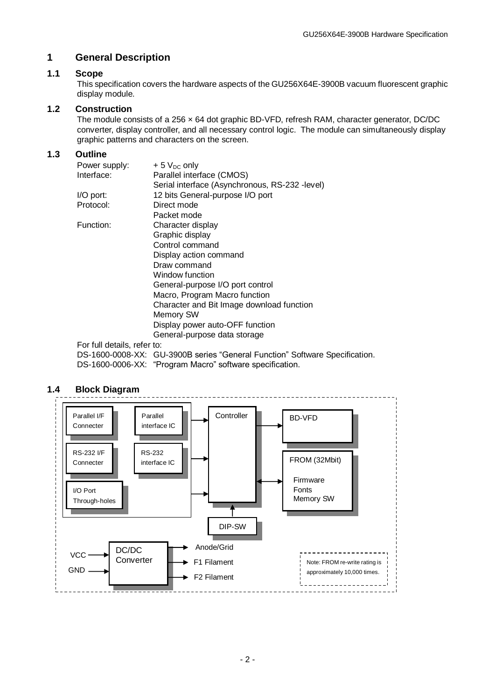#### <span id="page-2-0"></span>**1 General Description**

#### <span id="page-2-1"></span>**1.1 Scope**

This specification covers the hardware aspects of the GU256X64E-3900B vacuum fluorescent graphic display module.

#### <span id="page-2-2"></span>**1.2 Construction**

The module consists of a 256 × 64 dot graphic BD-VFD, refresh RAM, character generator, DC/DC converter, display controller, and all necessary control logic. The module can simultaneously display graphic patterns and characters on the screen.

#### <span id="page-2-3"></span>**1.3 Outline**

| Power supply:               | $+5$ V <sub>DC</sub> only                      |
|-----------------------------|------------------------------------------------|
| Interface:                  | Parallel interface (CMOS)                      |
|                             | Serial interface (Asynchronous, RS-232 -level) |
| I/O port:                   | 12 bits General-purpose I/O port               |
| Protocol:                   | Direct mode                                    |
|                             | Packet mode                                    |
| Function:                   | Character display                              |
|                             | Graphic display                                |
|                             | Control command                                |
|                             | Display action command                         |
|                             | Draw command                                   |
|                             | Window function                                |
|                             | General-purpose I/O port control               |
|                             | Macro, Program Macro function                  |
|                             | Character and Bit Image download function      |
|                             | Memory SW                                      |
|                             | Display power auto-OFF function                |
|                             | General-purpose data storage                   |
| For full details, refer to: |                                                |
|                             |                                                |

DS-1600-0008-XX: GU-3900B series "General Function" Software Specification. DS-1600-0006-XX: "Program Macro" software specification.

#### <span id="page-2-4"></span>**1.4 Block Diagram**

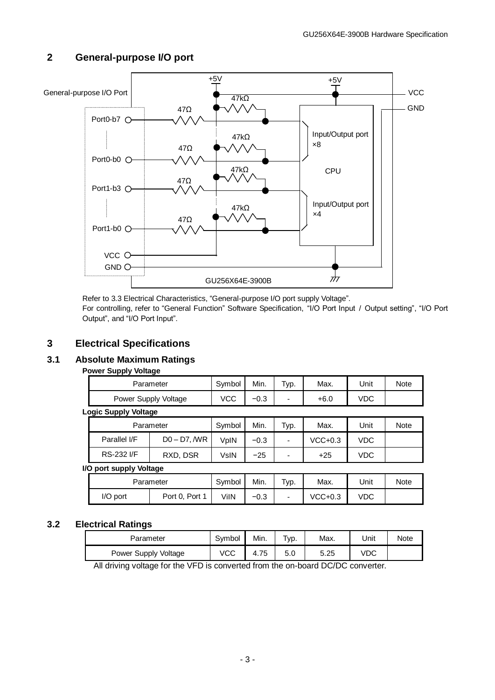#### +5V +5V General-purpose I/O Port - VCC  $47kΩ$ 47Ω GND Port0-b7 O-Input/Output port 47kΩ ×8 47Ω Port0-b0 O 47kΩ **CPU** 47Ω Port1-b3 O Input/Output port 47kΩ ×4 47Ω Port1-b0 O VCC O GND<sub>O</sub>  $\frac{1}{H}$ GU256X64E-3900B

### <span id="page-3-0"></span>**2 General-purpose I/O port**

Refer to [3.3](#page-4-0) Electrical Characteristics, "General-purpose I/O port supply Voltage".

For controlling, refer to "General Function" Software Specification, "I/O Port Input / Output setting", "I/O Port Output", and "I/O Port Input".

## <span id="page-3-1"></span>**3 Electrical Specifications**

## <span id="page-3-2"></span>**3.1 Absolute Maximum Ratings**

#### **Power Supply Voltage**

| Parameter                   | Symbol | Min.   | Typ. | Max. | Unit | Note |
|-----------------------------|--------|--------|------|------|------|------|
| Power Supply Voltage        | VCC    | $-0.3$ | -    | +6.0 | VDC  |      |
| <b>Logic Supply Voltage</b> |        |        |      |      |      |      |

|                   | Parameter      | Symbol | Min.   | Typ. | Max.      | Unit | Note |
|-------------------|----------------|--------|--------|------|-----------|------|------|
| Parallel I/F      | $D0 - D7$ , WR | VpIN   | $-0.3$ | -    | $VCC+0.3$ | VDC  |      |
| <b>RS-232 I/F</b> | RXD, DSR       | VsIN   | $-25$  | -    | $+25$     | VDC  |      |

#### **I/O port supply Voltage**

| Parameter | Symbol         | Min. | $\tau_{\text{VP}}$ . | Max.                     | Unit    | Note |  |
|-----------|----------------|------|----------------------|--------------------------|---------|------|--|
| I/O port  | Port 0, Port 1 | √iIN | $-0.3$               | $\overline{\phantom{0}}$ | VCC+0.3 | VDC  |  |

#### <span id="page-3-3"></span>**3.2 Electrical Ratings**

| Parameter            | Svmbol | Min. | 'yp. | Max. | Unit | Note |
|----------------------|--------|------|------|------|------|------|
| Power Supply Voltage | VCC    | 4.75 | 5.0  | 5.25 | VDC  |      |

All driving voltage for the VFD is converted from the on-board DC/DC converter.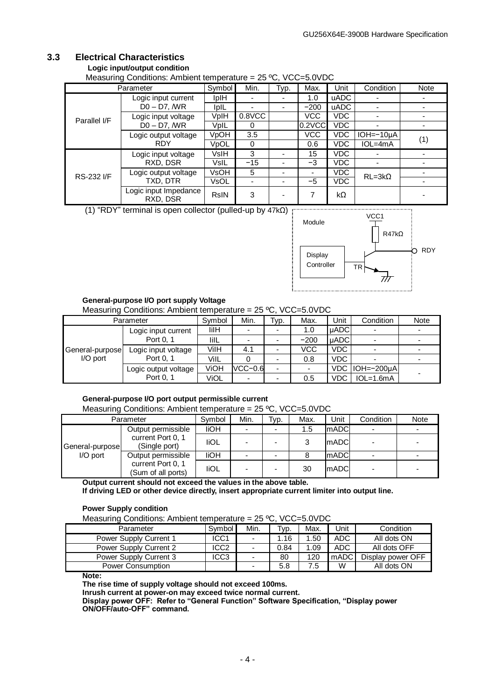## <span id="page-4-0"></span>**3.3 Electrical Characteristics**

#### **Logic input/output condition**

Measuring Conditions: Ambient temperature = 25 ºC, VCC=5.0VDC

| Parameter         |                                   | Symbol      | Min.      | Typ.                     | Max.   | Unit        | Condition       | <b>Note</b> |
|-------------------|-----------------------------------|-------------|-----------|--------------------------|--------|-------------|-----------------|-------------|
|                   | Logic input current               | <b>IpIH</b> |           | $\overline{\phantom{a}}$ | 1.0    | <b>uADC</b> |                 |             |
|                   | $D0 - D7$ , $M$ R                 | <b>IpIL</b> |           |                          | $-200$ | <b>uADC</b> |                 |             |
| Parallel I/F      | Logic input voltage               | VplH        | $0.8$ VCC |                          | VCC    | VDC.        |                 |             |
|                   | $D0 - D7$ , $M$ R                 | VpIL        | 0         |                          | 0.2VCC | VDC.        |                 |             |
|                   | Logic output voltage              | VpOH        | 3.5       |                          | VCC    | <b>VDC</b>  | $IOH = -10µA$   |             |
|                   | <b>RDY</b>                        | VpOL        | 0         |                          | 0.6    | <b>VDC</b>  | $IOL=4mA$       | (1)         |
|                   | Logic input voltage               | <b>VsIH</b> | 3         |                          | 15     | <b>VDC</b>  |                 |             |
|                   | RXD, DSR                          | VsIL        | $-15$     |                          | -3     | <b>VDC</b>  |                 |             |
| <b>RS-232 I/F</b> | Logic output voltage              | VsOH        | 5         |                          | ۰      | VDC.        | $RL = 3k\Omega$ |             |
|                   | TXD, DTR                          | VsOL        |           |                          | $-5$   | <b>VDC</b>  |                 |             |
|                   | Logic input Impedance<br>RXD, DSR | <b>RsIN</b> | 3         |                          |        | kΩ          |                 |             |

(1) "RDY" terminal is open collector (pulled-up by 47kΩ)



#### **General-purpose I/O port supply Voltage**

Measuring Conditions: Ambient temperature = 25 ºC, VCC=5.0VDC

|                 | Parameter            | Symbol | Min.      | Typ. | Max.   | Unit        | Condition        | Note |
|-----------------|----------------------|--------|-----------|------|--------|-------------|------------------|------|
|                 | Logic input current  | lilH   |           |      | 1.0    | <b>uADC</b> |                  |      |
|                 | Port 0.1             | lilL   |           |      | $-200$ | <b>uADC</b> |                  |      |
| General-purpose | Logic input voltage  | VilH   | 4.1       |      | VCC    | <b>VDC</b>  |                  |      |
| $I/O$ port      | Port 0, 1            | VilL   |           |      | 0.8    | <b>VDC</b>  |                  |      |
|                 | Logic output voltage | ViOH   | $VCC-0.6$ |      |        |             | VDC   IOH=-200µA |      |
|                 | Port 0, 1            | ViOL   |           |      | 0.5    | VDC         | $IOL=1.6mA$      |      |

#### **General-purpose I/O port output permissible current**

Measuring Conditions: Ambient temperature = 25 ºC, VCC=5.0VDC

|                 | Parameter                               | Symbol      | Min.                     | Typ.                     | Max. | Unit        | Condition | Note |
|-----------------|-----------------------------------------|-------------|--------------------------|--------------------------|------|-------------|-----------|------|
|                 | Output permissible                      | liOH        | $\overline{\phantom{a}}$ | $\overline{\phantom{a}}$ | 1.5  | <b>mADC</b> |           |      |
| General-purpose | current Port 0, 1<br>(Single port)      | <b>IiOL</b> |                          |                          | 2    | <b>mADC</b> |           |      |
| I/O port        | Output permissible                      | <b>IiOH</b> |                          |                          |      | ImADCI      |           |      |
|                 | current Port 0, 1<br>(Sum of all ports) | <b>IiOL</b> |                          |                          | 30   | mADCl       |           |      |

**Output current should not exceed the values in the above table.**

**If driving LED or other device directly, insert appropriate current limiter into output line.**

#### **Power Supply condition**

Measuring Conditions: Ambient temperature = 25 ºC, VCC=5.0VDC

| Parameter                | Symbol | Min. | Tvp. | Max. | Unit | Condition         |
|--------------------------|--------|------|------|------|------|-------------------|
| Power Supply Current 1   | ICC1   | ۰    | 1.16 | 1.50 | ADC. | All dots ON       |
| Power Supply Current 2   | ICC2   |      | 0.84 | 1.09 | ADC. | All dots OFF      |
| Power Supply Current 3   | ICC3   |      | 80   | 120  | mADC | Display power OFF |
| <b>Power Consumption</b> |        |      | 5.8  | 7.5  | W    | All dots ON       |

**Note:**

**The rise time of supply voltage should not exceed 100ms.**

**Inrush current at power-on may exceed twice normal current.**

**Display power OFF: Refer to "General Function" Software Specification, "Display power ON/OFF/auto-OFF" command.**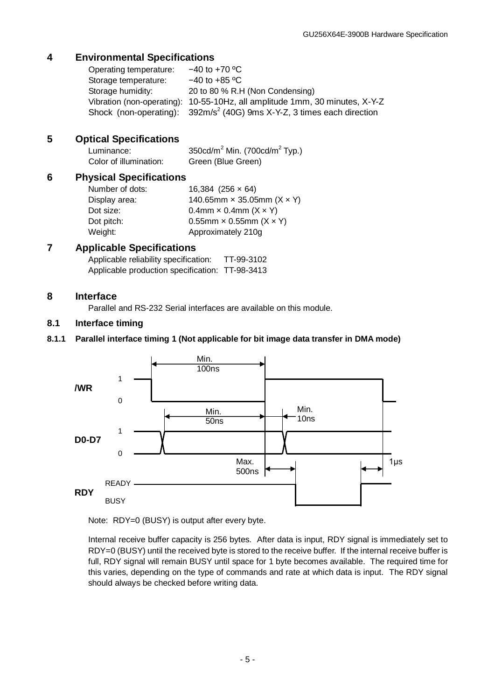## <span id="page-5-0"></span>**4 Environmental Specifications**

| Operating temperature: | $-40$ to $+70$ °C                                                                  |
|------------------------|------------------------------------------------------------------------------------|
| Storage temperature:   | $-40$ to +85 °C                                                                    |
| Storage humidity:      | 20 to 80 % R.H (Non Condensing)                                                    |
|                        | Vibration (non-operating): 10-55-10Hz, all amplitude 1mm, 30 minutes, X-Y-Z        |
|                        | Shock (non-operating): 392m/s <sup>2</sup> (40G) 9ms X-Y-Z, 3 times each direction |

## <span id="page-5-1"></span>**5 Optical Specifications**

| Luminance:             | 350cd/m <sup>2</sup> Min. (700cd/m <sup>2</sup> Typ.) |
|------------------------|-------------------------------------------------------|
| Color of illumination: | Green (Blue Green)                                    |

#### <span id="page-5-2"></span>**6 Physical Specifications**

Number of dots: 16,384 (256 × 64) Display area:  $140.65$ mm  $\times$  35.05mm  $(X \times Y)$ Dot size:  $0.4$ mm  $\times$  0.4mm  $(X \times Y)$ Dot pitch: 0.55mm  $\times$  0.55mm  $(X \times Y)$ Weight: Approximately 210g

## <span id="page-5-3"></span>**7 Applicable Specifications**

| Applicable reliability specification: | TT-99-3102 |
|---------------------------------------|------------|
| Applicable production specification:  | TT-98-3413 |

#### <span id="page-5-4"></span>**8 Interface**

Parallel and RS-232 Serial interfaces are available on this module.

### <span id="page-5-5"></span>**8.1 Interface timing**

#### <span id="page-5-6"></span>**8.1.1 Parallel interface timing 1 (Not applicable for bit image data transfer in DMA mode)**



Note: RDY=0 (BUSY) is output after every byte.

Internal receive buffer capacity is 256 bytes. After data is input, RDY signal is immediately set to RDY=0 (BUSY) until the received byte is stored to the receive buffer. If the internal receive buffer is full, RDY signal will remain BUSY until space for 1 byte becomes available. The required time for this varies, depending on the type of commands and rate at which data is input. The RDY signal should always be checked before writing data.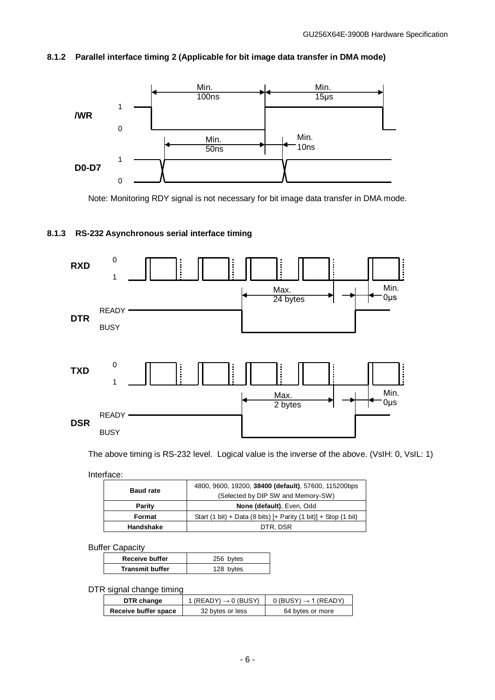#### <span id="page-6-0"></span>**8.1.2 Parallel interface timing 2 (Applicable for bit image data transfer in DMA mode)**



Note: Monitoring RDY signal is not necessary for bit image data transfer in DMA mode.

#### <span id="page-6-1"></span>**8.1.3 RS-232 Asynchronous serial interface timing**



The above timing is RS-232 level. Logical value is the inverse of the above. (VsIH: 0, VsIL: 1)

Interface:

| <b>Baud rate</b> | 4800, 9600, 19200, 38400 (default), 57600, 115200bps              |  |  |
|------------------|-------------------------------------------------------------------|--|--|
|                  | (Selected by DIP SW and Memory-SW)                                |  |  |
| Parity           | None (default), Even, Odd                                         |  |  |
| Format           | Start (1 bit) + Data (8 bits) $[+$ Parity (1 bit)] + Stop (1 bit) |  |  |
| Handshake        | DTR, DSR                                                          |  |  |

Buffer Capacity

| <b>Receive buffer</b>  | 256 bytes |
|------------------------|-----------|
| <b>Transmit buffer</b> | 128 bytes |
|                        |           |

DTR signal change timing

| DTR change           | 1 (READY) $\rightarrow$ 0 (BUSY) | $0$ (BUSY) $\rightarrow$ 1 (READY) |
|----------------------|----------------------------------|------------------------------------|
| Receive buffer space | 32 bytes or less                 | 64 bytes or more                   |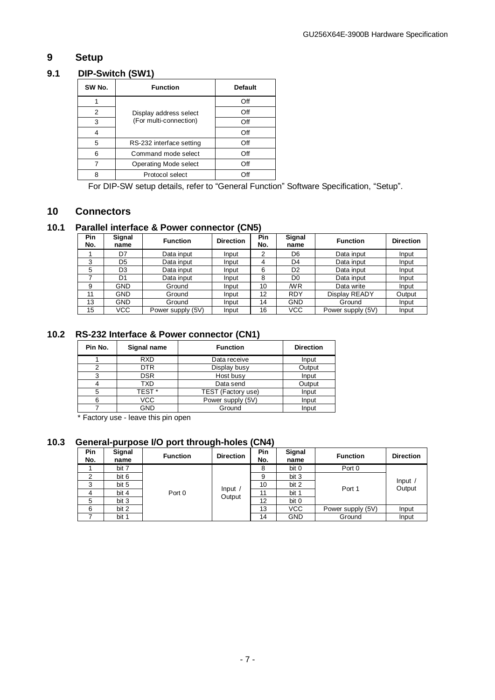## <span id="page-7-0"></span>**9 Setup**

### **9.1 DIP-Switch (SW1)**

<span id="page-7-1"></span>

| SW No. | <b>Function</b>              | <b>Default</b> |
|--------|------------------------------|----------------|
|        |                              | Off            |
| 2      | Display address select       | Off            |
| 3      | (For multi-connection)       | Off            |
|        |                              | Off            |
| 5      | RS-232 interface setting     | Off            |
| 6      | Command mode select          | Off            |
|        | <b>Operating Mode select</b> | Off            |
| ጸ      | Protocol select              | $\cdot$ )ft    |

For DIP-SW setup details, refer to "General Function" Software Specification, "Setup".

#### <span id="page-7-2"></span>**10 Connectors**

#### <span id="page-7-3"></span>**10.1 Parallel interface & Power connector (CN5)**

| Pin<br>No. | Signal<br>name | <b>Function</b>   | <b>Direction</b> | <b>Pin</b><br>No. | <b>Signal</b><br>name | <b>Function</b>   | <b>Direction</b> |
|------------|----------------|-------------------|------------------|-------------------|-----------------------|-------------------|------------------|
|            | D7             | Data input        | Input            | 2                 | D6                    | Data input        | Input            |
| 3          | D5             | Data input        | Input            | 4                 | D <sub>4</sub>        | Data input        | Input            |
| 5          | D <sub>3</sub> | Data input        | Input            | 6                 | D <sub>2</sub>        | Data input        | Input            |
|            | D1             | Data input        | Input            | 8                 | D <sub>0</sub>        | Data input        | Input            |
| 9          | <b>GND</b>     | Ground            | Input            | 10                | /WR                   | Data write        | Input            |
| 11         | GND            | Ground            | Input            | 12                | <b>RDY</b>            | Display READY     | Output           |
| 13         | <b>GND</b>     | Ground            | Input            | 14                | <b>GND</b>            | Ground            | Input            |
| 15         | VCC            | Power supply (5V) | Input            | 16                | VCC                   | Power supply (5V) | Input            |

## <span id="page-7-4"></span>**10.2 RS-232 Interface & Power connector (CN1)**

| Pin No. | Signal name       | <b>Function</b>    | <b>Direction</b> |  |
|---------|-------------------|--------------------|------------------|--|
|         | <b>RXD</b>        | Data receive       | Input            |  |
| ⌒       | <b>DTR</b>        | Display busy       | Output           |  |
| 3       | <b>DSR</b>        | Host busy          | Input            |  |
|         | TXD               | Data send          | Output           |  |
| 5       | TEST <sup>*</sup> | TEST (Factory use) | Input            |  |
| 6       | VCC               | Power supply (5V)  | Input            |  |
|         | <b>GND</b>        | Ground             | Input            |  |

\* Factory use - leave this pin open

## <span id="page-7-5"></span>**10.3 General-purpose I/O port through-holes (CN4)**

| Pin<br>No. | Signal<br>name | <b>Function</b> | <b>Direction</b>  | <b>Pin</b><br>No. | Signal<br>name | <b>Function</b>   | <b>Direction</b>    |
|------------|----------------|-----------------|-------------------|-------------------|----------------|-------------------|---------------------|
|            | bit 7          |                 |                   | 8                 | bit 0          | Port 0            |                     |
| ◠          | bit 6          |                 |                   | 9                 | bit 3          |                   |                     |
| ົ          | bit 5          |                 | Input /<br>Output | 10                | bit 2          | Port 1            | Input $/$<br>Output |
|            | bit 4          | Port 0          |                   | 11                | bit 1          |                   |                     |
| 5          | bit 3          |                 |                   | 12                | bit 0          |                   |                     |
| 6          | bit 2          |                 |                   | 13                | <b>VCC</b>     | Power supply (5V) | Input               |
|            | bit 1          |                 |                   | 14                | <b>GND</b>     | Ground            | Input               |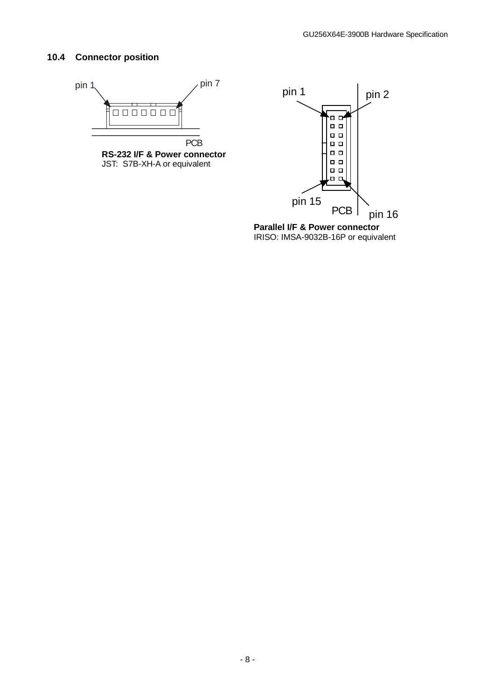#### <span id="page-8-0"></span>**10.4 Connector position**





IRISO: IMSA-9032B-16P or equivalent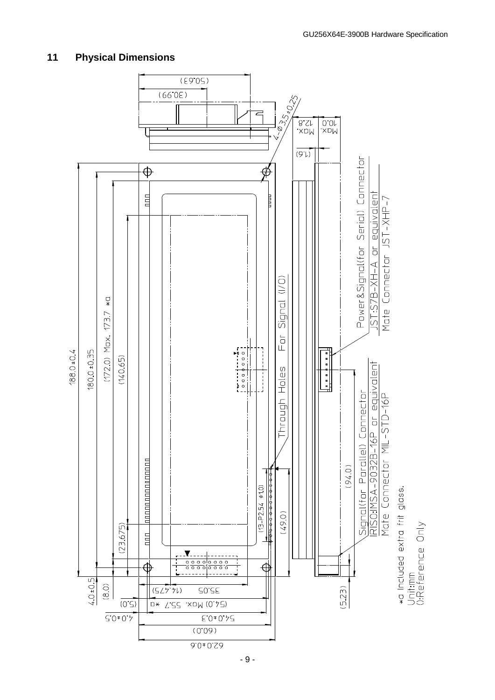

#### <span id="page-9-0"></span>**11 Physical Dimensions**

- 9 -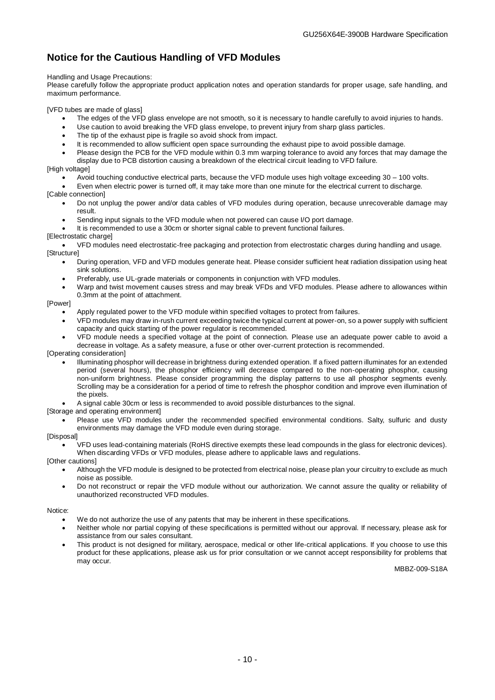## <span id="page-10-0"></span>**Notice for the Cautious Handling of VFD Modules**

#### Handling and Usage Precautions:

Please carefully follow the appropriate product application notes and operation standards for proper usage, safe handling, and maximum performance.

[VFD tubes are made of glass]

- The edges of the VFD glass envelope are not smooth, so it is necessary to handle carefully to avoid injuries to hands.
- Use caution to avoid breaking the VFD glass envelope, to prevent injury from sharp glass particles.
- The tip of the exhaust pipe is fragile so avoid shock from impact.
- It is recommended to allow sufficient open space surrounding the exhaust pipe to avoid possible damage.
- Please design the PCB for the VFD module within 0.3 mm warping tolerance to avoid any forces that may damage the display due to PCB distortion causing a breakdown of the electrical circuit leading to VFD failure.

#### [High voltage]

- Avoid touching conductive electrical parts, because the VFD module uses high voltage exceeding 30 100 volts.
- Even when electric power is turned off, it may take more than one minute for the electrical current to discharge.

#### [Cable connection]

- Do not unplug the power and/or data cables of VFD modules during operation, because unrecoverable damage may result.
- Sending input signals to the VFD module when not powered can cause I/O port damage.
- It is recommended to use a 30cm or shorter signal cable to prevent functional failures.

#### [Electrostatic charge]

 VFD modules need electrostatic-free packaging and protection from electrostatic charges during handling and usage. [Structure]

- During operation, VFD and VFD modules generate heat. Please consider sufficient heat radiation dissipation using heat sink solutions.
- Preferably, use UL-grade materials or components in conjunction with VFD modules.
- Warp and twist movement causes stress and may break VFDs and VFD modules. Please adhere to allowances within 0.3mm at the point of attachment.

#### [Power]

- Apply regulated power to the VFD module within specified voltages to protect from failures.
- VFD modules may draw in-rush current exceeding twice the typical current at power-on, so a power supply with sufficient capacity and quick starting of the power regulator is recommended.
- VFD module needs a specified voltage at the point of connection. Please use an adequate power cable to avoid a decrease in voltage. As a safety measure, a fuse or other over-current protection is recommended.

[Operating consideration]

- Illuminating phosphor will decrease in brightness during extended operation. If a fixed pattern illuminates for an extended period (several hours), the phosphor efficiency will decrease compared to the non-operating phosphor, causing non-uniform brightness. Please consider programming the display patterns to use all phosphor segments evenly. Scrolling may be a consideration for a period of time to refresh the phosphor condition and improve even illumination of the pixels.
- A signal cable 30cm or less is recommended to avoid possible disturbances to the signal.

[Storage and operating environment]

 Please use VFD modules under the recommended specified environmental conditions. Salty, sulfuric and dusty environments may damage the VFD module even during storage.

#### [Disposal]

 VFD uses lead-containing materials (RoHS directive exempts these lead compounds in the glass for electronic devices). When discarding VFDs or VFD modules, please adhere to applicable laws and regulations.

#### [Other cautions]

- Although the VFD module is designed to be protected from electrical noise, please plan your circuitry to exclude as much noise as possible.
- Do not reconstruct or repair the VFD module without our authorization. We cannot assure the quality or reliability of unauthorized reconstructed VFD modules.

#### Notice:

- We do not authorize the use of any patents that may be inherent in these specifications.
- Neither whole nor partial copying of these specifications is permitted without our approval. If necessary, please ask for assistance from our sales consultant.
- This product is not designed for military, aerospace, medical or other life-critical applications. If you choose to use this product for these applications, please ask us for prior consultation or we cannot accept responsibility for problems that may occur.

MBBZ-009-S18A